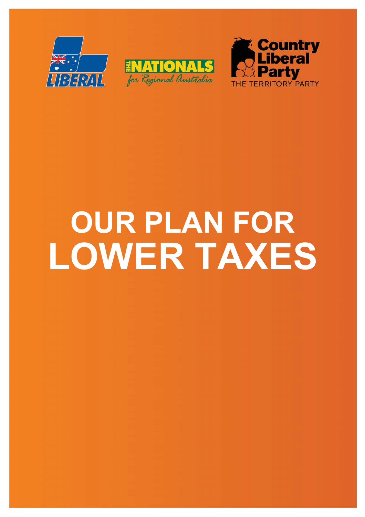





# **OUR PLAN FOR LOWER TAXES**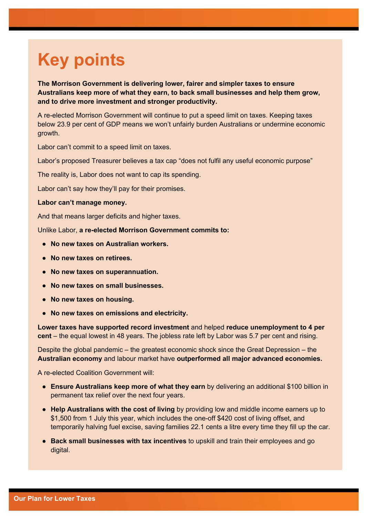# **Key points**

**The Morrison Government is delivering lower, fairer and simpler taxes to ensure Australians keep more of what they earn, to back small businesses and help them grow, and to drive more investment and stronger productivity.** 

A re-elected Morrison Government will continue to put a speed limit on taxes. Keeping taxes below 23.9 per cent of GDP means we won't unfairly burden Australians or undermine economic growth.

Labor can't commit to a speed limit on taxes.

Labor's proposed Treasurer believes a tax cap "does not fulfil any useful economic purpose"

The reality is, Labor does not want to cap its spending.

Labor can't say how they'll pay for their promises.

#### **Labor can't manage money.**

And that means larger deficits and higher taxes.

Unlike Labor, **a re-elected Morrison Government commits to:**

- **No new taxes on Australian workers.**
- **No new taxes on retirees.**
- **No new taxes on superannuation.**
- **No new taxes on small businesses.**
- **No new taxes on housing.**
- **No new taxes on emissions and electricity.**

**Lower taxes have supported record investment** and helped **reduce unemployment to 4 per cent** – the equal lowest in 48 years. The jobless rate left by Labor was 5.7 per cent and rising.

Despite the global pandemic – the greatest economic shock since the Great Depression – the **Australian economy** and labour market have **outperformed all major advanced economies.**

- **Ensure Australians keep more of what they earn** by delivering an additional \$100 billion in permanent tax relief over the next four years.
- **Help Australians with the cost of living** by providing low and middle income earners up to \$1,500 from 1 July this year, which includes the one-off \$420 cost of living offset, and temporarily halving fuel excise, saving families 22.1 cents a litre every time they fill up the car.
- **Back small businesses with tax incentives** to upskill and train their employees and go digital.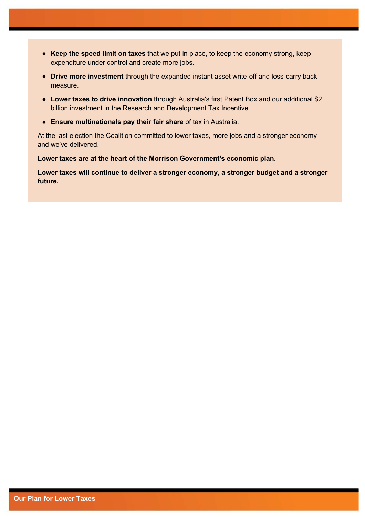- **Keep the speed limit on taxes** that we put in place, to keep the economy strong, keep expenditure under control and create more jobs.
- **Drive more investment** through the expanded instant asset write-off and loss-carry back measure.
- **Lower taxes to drive innovation** through Australia's first Patent Box and our additional \$2 billion investment in the Research and Development Tax Incentive.
- **Ensure multinationals pay their fair share** of tax in Australia.

At the last election the Coalition committed to lower taxes, more jobs and a stronger economy – and we've delivered.

**Lower taxes are at the heart of the Morrison Government's economic plan.**

**Lower taxes will continue to deliver a stronger economy, a stronger budget and a stronger future.**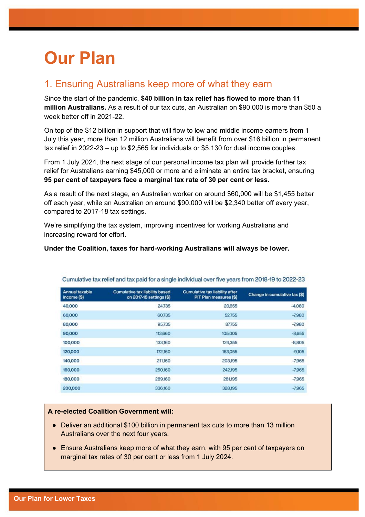# **Our Plan**

### 1. Ensuring Australians keep more of what they earn

Since the start of the pandemic, **\$40 billion in tax relief has flowed to more than 11 million Australians.** As a result of our tax cuts, an Australian on \$90,000 is more than \$50 a week better off in 2021-22.

On top of the \$12 billion in support that will flow to low and middle income earners from 1 July this year, more than 12 million Australians will benefit from over \$16 billion in permanent tax relief in 2022-23 – up to \$2,565 for individuals or \$5,130 for dual income couples.

From 1 July 2024, the next stage of our personal income tax plan will provide further tax relief for Australians earning \$45,000 or more and eliminate an entire tax bracket, ensuring **95 per cent of taxpayers face a marginal tax rate of 30 per cent or less.** 

As a result of the next stage, an Australian worker on around \$60,000 will be \$1,455 better off each year, while an Australian on around \$90,000 will be \$2,340 better off every year, compared to 2017-18 tax settings.

We're simplifying the tax system, improving incentives for working Australians and increasing reward for effort.

#### **Under the Coalition, taxes for hard**-**working Australians will always be lower.**

| <b>Annual taxable</b><br>income (\$) | <b>Cumulative tax liability based</b><br>on 2017-18 settings (\$) | <b>Cumulative tax liability after</b><br>PIT Plan measures (\$) | Change in cumulative tax (\$) |
|--------------------------------------|-------------------------------------------------------------------|-----------------------------------------------------------------|-------------------------------|
| 40,000                               | 24,735                                                            | 20,655                                                          | $-4,080$                      |
| 60,000                               | 60,735                                                            | 52,755                                                          | $-7,980$                      |
| 80,000                               | 95,735                                                            | 87,755                                                          | $-7,980$                      |
| 90,000                               | 113,660                                                           | 105,005                                                         | $-8,655$                      |
| 100,000                              | 133,160                                                           | 124,355                                                         | $-8,805$                      |
| 120,000                              | 172,160                                                           | 163,055                                                         | $-9,105$                      |
| 140,000                              | 211,160                                                           | 203,195                                                         | $-7,965$                      |
| 160,000                              | 250,160                                                           | 242,195                                                         | $-7,965$                      |
| 180,000                              | 289,160                                                           | 281,195                                                         | $-7,965$                      |
| 200,000                              | 336,160                                                           | 328,195                                                         | $-7,965$                      |
|                                      |                                                                   |                                                                 |                               |

Cumulative tax relief and tax paid for a single individual over five years from 2018-19 to 2022-23

- Deliver an additional \$100 billion in permanent tax cuts to more than 13 million Australians over the next four years.
- Ensure Australians keep more of what they earn, with 95 per cent of taxpayers on marginal tax rates of 30 per cent or less from 1 July 2024.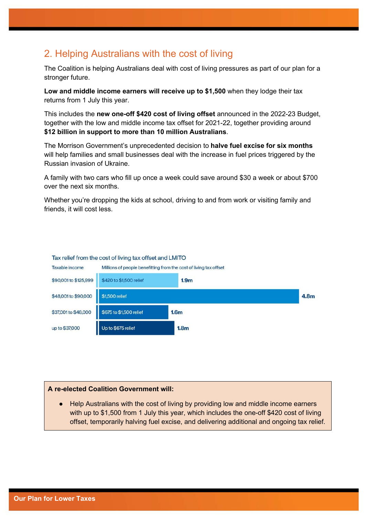## 2. Helping Australians with the cost of living

The Coalition is helping Australians deal with cost of living pressures as part of our plan for a stronger future.

**Low and middle income earners will receive up to \$1,500** when they lodge their tax returns from 1 July this year.

This includes the **new one-off \$420 cost of living offset** announced in the 2022-23 Budget, together with the low and middle income tax offset for 2021-22, together providing around **\$12 billion in support to more than 10 million Australians**.

The Morrison Government's unprecedented decision to **halve fuel excise for six months** will help families and small businesses deal with the increase in fuel prices triggered by the Russian invasion of Ukraine.

A family with two cars who fill up once a week could save around \$30 a week or about \$700 over the next six months.

Whether you're dropping the kids at school, driving to and from work or visiting family and friends, it will cost less.



#### Tax relief from the cost of living tax offset and LMITO

#### **A re-elected Coalition Government will:**

● Help Australians with the cost of living by providing low and middle income earners with up to \$1,500 from 1 July this year, which includes the one-off \$420 cost of living offset, temporarily halving fuel excise, and delivering additional and ongoing tax relief.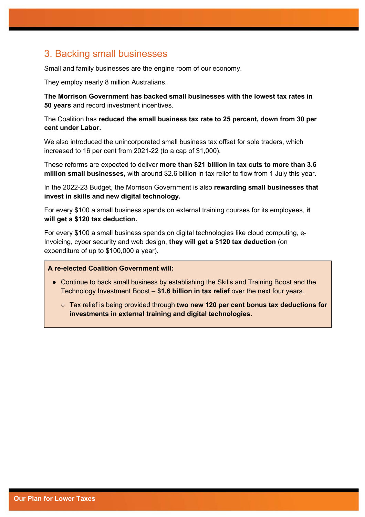### 3. Backing small businesses

Small and family businesses are the engine room of our economy.

They employ nearly 8 million Australians.

**The Morrison Government has backed small businesses with the lowest tax rates in 50 years** and record investment incentives.

The Coalition has **reduced the small business tax rate to 25 percent, down from 30 per cent under Labor.**

We also introduced the unincorporated small business tax offset for sole traders, which increased to 16 per cent from 2021-22 (to a cap of \$1,000).

These reforms are expected to deliver **more than \$21 billion in tax cuts to more than 3.6 million small businesses**, with around \$2.6 billion in tax relief to flow from 1 July this year.

In the 2022-23 Budget, the Morrison Government is also **rewarding small businesses that invest in skills and new digital technology.**

For every \$100 a small business spends on external training courses for its employees, **it will get a \$120 tax deduction.**

For every \$100 a small business spends on digital technologies like cloud computing, e-Invoicing, cyber security and web design, **they will get a \$120 tax deduction** (on expenditure of up to \$100,000 a year).

- Continue to back small business by establishing the Skills and Training Boost and the Technology Investment Boost – **\$1.6 billion in tax relief** over the next four years.
	- Tax relief is being provided through **two new 120 per cent bonus tax deductions for investments in external training and digital technologies.**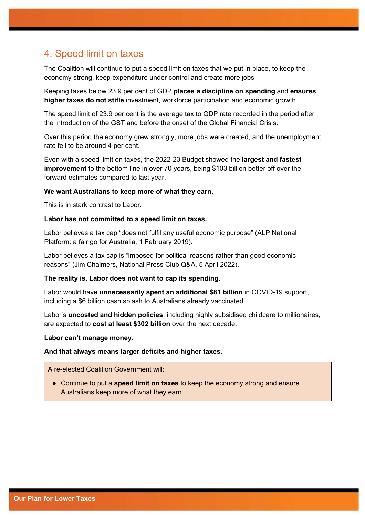### 4. Speed limit on taxes

The Coalition will continue to put a speed limit on taxes that we put in place, to keep the economy strong, keep expenditure under control and create more jobs.

Keeping taxes below 23.9 per cent of GDP **places a discipline on spending** and **ensures higher taxes do not stifle** investment, workforce participation and economic growth.

The speed limit of 23.9 per cent is the average tax to GDP rate recorded in the period after the introduction of the GST and before the onset of the Global Financial Crisis.

Over this period the economy grew strongly, more jobs were created, and the unemployment rate fell to be around 4 per cent.

Even with a speed limit on taxes, the 2022-23 Budget showed the **largest and fastest improvement** to the bottom line in over 70 years, being \$103 billion better off over the forward estimates compared to last year.

#### **We want Australians to keep more of what they earn.**

This is in stark contrast to Labor.

#### **Labor has not committed to a speed limit on taxes.**

Labor believes a tax cap "does not fulfil any useful economic purpose" (ALP National Platform: a fair go for Australia, 1 February 2019).

Labor believes a tax cap is "imposed for political reasons rather than good economic reasons" (Jim Chalmers, National Press Club Q&A, 5 April 2022).

#### **The reality is, Labor does not want to cap its spending.**

Labor would have **unnecessarily spent an additional \$81 billion** in COVID-19 support, including a \$6 billion cash splash to Australians already vaccinated.

Labor's **uncosted and hidden policies**, including highly subsidised childcare to millionaires, are expected to **cost at least \$302 billion** over the next decade.

**Labor can't manage money.**

#### **And that always means larger deficits and higher taxes.**

A re-elected Coalition Government will:

● Continue to put a **speed limit on taxes** to keep the economy strong and ensure Australians keep more of what they earn.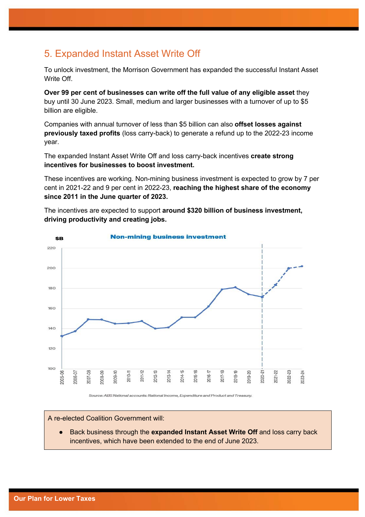# 5. Expanded Instant Asset Write Off

To unlock investment, the Morrison Government has expanded the successful Instant Asset Write Off

**Over 99 per cent of businesses can write off the full value of any eligible asset** they buy until 30 June 2023. Small, medium and larger businesses with a turnover of up to \$5 billion are eligible.

Companies with annual turnover of less than \$5 billion can also **offset losses against previously taxed profits** (loss carry-back) to generate a refund up to the 2022-23 income year.

The expanded Instant Asset Write Off and loss carry-back incentives **create strong incentives for businesses to boost investment.**

These incentives are working. Non-mining business investment is expected to grow by 7 per cent in 2021-22 and 9 per cent in 2022-23, **reaching the highest share of the economy since 2011 in the June quarter of 2023.** 

The incentives are expected to support **around \$320 billion of business investment, driving productivity and creating jobs.**



Source: ABS National accounts: National Income, Expenditure and Product and Treasury.

A re-elected Coalition Government will:

Back business through the **expanded Instant Asset Write Off** and loss carry back incentives, which have been extended to the end of June 2023.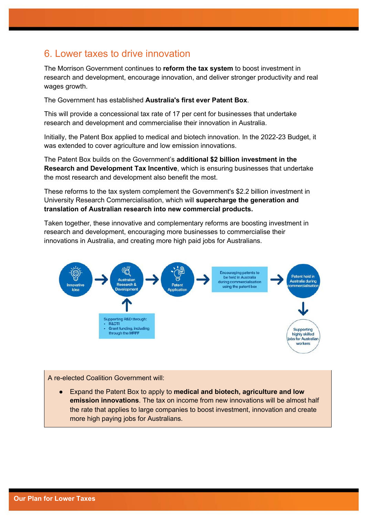### 6. Lower taxes to drive innovation

The Morrison Government continues to **reform the tax system** to boost investment in research and development, encourage innovation, and deliver stronger productivity and real wages growth.

The Government has established **Australia's first ever Patent Box**.

This will provide a concessional tax rate of 17 per cent for businesses that undertake research and development and commercialise their innovation in Australia.

Initially, the Patent Box applied to medical and biotech innovation. In the 2022-23 Budget, it was extended to cover agriculture and low emission innovations.

The Patent Box builds on the Government's **additional \$2 billion investment in the Research and Development Tax Incentive**, which is ensuring businesses that undertake the most research and development also benefit the most.

These reforms to the tax system complement the Government's \$2.2 billion investment in University Research Commercialisation, which will **supercharge the generation and translation of Australian research into new commercial products.** 

Taken together, these innovative and complementary reforms are boosting investment in research and development, encouraging more businesses to commercialise their innovations in Australia, and creating more high paid jobs for Australians.



A re-elected Coalition Government will:

Expand the Patent Box to apply to **medical and biotech, agriculture and low emission innovations**. The tax on income from new innovations will be almost half the rate that applies to large companies to boost investment, innovation and create more high paying jobs for Australians.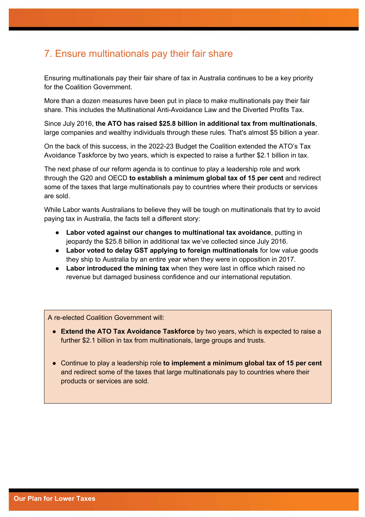### 7. Ensure multinationals pay their fair share

Ensuring multinationals pay their fair share of tax in Australia continues to be a key priority for the Coalition Government.

More than a dozen measures have been put in place to make multinationals pay their fair share. This includes the Multinational Anti-Avoidance Law and the Diverted Profits Tax.

Since July 2016, **the ATO has raised \$25.8 billion in additional tax from multinationals**, large companies and wealthy individuals through these rules. That's almost \$5 billion a year.

On the back of this success, in the 2022-23 Budget the Coalition extended the ATO's Tax Avoidance Taskforce by two years, which is expected to raise a further \$2.1 billion in tax.

The next phase of our reform agenda is to continue to play a leadership role and work through the G20 and OECD **to establish a minimum global tax of 15 per cent** and redirect some of the taxes that large multinationals pay to countries where their products or services are sold.

While Labor wants Australians to believe they will be tough on multinationals that try to avoid paying tax in Australia, the facts tell a different story:

- **Labor voted against our changes to multinational tax avoidance**, putting in jeopardy the \$25.8 billion in additional tax we've collected since July 2016.
- **Labor voted to delay GST applying to foreign multinationals** for low value goods they ship to Australia by an entire year when they were in opposition in 2017.
- **Labor introduced the mining tax** when they were last in office which raised no revenue but damaged business confidence and our international reputation.

- **Extend the ATO Tax Avoidance Taskforce** by two years, which is expected to raise a further \$2.1 billion in tax from multinationals, large groups and trusts.
- Continue to play a leadership role **to implement a minimum global tax of 15 per cent** and redirect some of the taxes that large multinationals pay to countries where their products or services are sold.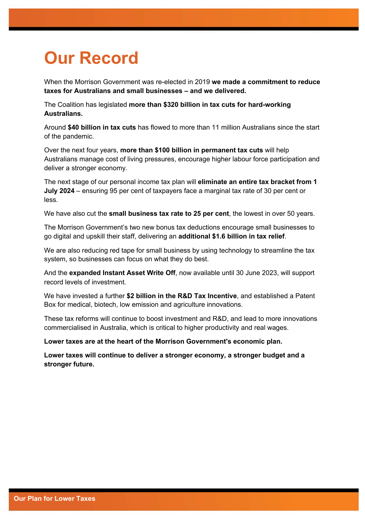# **Our Record**

When the Morrison Government was re-elected in 2019 **we made a commitment to reduce taxes for Australians and small businesses – and we delivered.**

The Coalition has legislated **more than \$320 billion in tax cuts for hard-working Australians.**

Around **\$40 billion in tax cuts** has flowed to more than 11 million Australians since the start of the pandemic.

Over the next four years, **more than \$100 billion in permanent tax cuts** will help Australians manage cost of living pressures, encourage higher labour force participation and deliver a stronger economy.

The next stage of our personal income tax plan will **eliminate an entire tax bracket from 1 July 2024** – ensuring 95 per cent of taxpayers face a marginal tax rate of 30 per cent or less.

We have also cut the **small business tax rate to 25 per cent**, the lowest in over 50 years.

The Morrison Government's two new bonus tax deductions encourage small businesses to go digital and upskill their staff, delivering an **additional \$1.6 billion in tax relief**.

We are also reducing red tape for small business by using technology to streamline the tax system, so businesses can focus on what they do best.

And the **expanded Instant Asset Write Off**, now available until 30 June 2023, will support record levels of investment.

We have invested a further **\$2 billion in the R&D Tax Incentive**, and established a Patent Box for medical, biotech, low emission and agriculture innovations.

These tax reforms will continue to boost investment and R&D, and lead to more innovations commercialised in Australia, which is critical to higher productivity and real wages.

**Lower taxes are at the heart of the Morrison Government's economic plan.**

**Lower taxes will continue to deliver a stronger economy, a stronger budget and a stronger future.**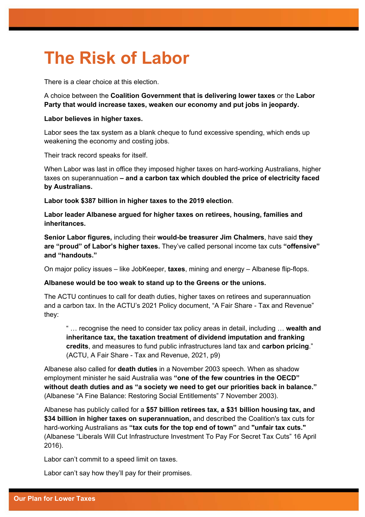# **The Risk of Labor**

There is a clear choice at this election.

A choice between the **Coalition Government that is delivering lower taxes** or the **Labor Party that would increase taxes, weaken our economy and put jobs in jeopardy.** 

#### **Labor believes in higher taxes.**

Labor sees the tax system as a blank cheque to fund excessive spending, which ends up weakening the economy and costing jobs.

Their track record speaks for itself.

When Labor was last in office they imposed higher taxes on hard-working Australians, higher taxes on superannuation **– and a carbon tax which doubled the price of electricity faced by Australians.**

**Labor took \$387 billion in higher taxes to the 2019 election**.

**Labor leader Albanese argued for higher taxes on retirees, housing, families and inheritances.**

**Senior Labor figures,** including their **would-be treasurer Jim Chalmers**, have said **they are "proud" of Labor's higher taxes.** They've called personal income tax cuts **"offensive" and "handouts."** 

On major policy issues – like JobKeeper, **taxes**, mining and energy – Albanese flip-flops.

#### **Albanese would be too weak to stand up to the Greens or the unions.**

The ACTU continues to call for death duties, higher taxes on retirees and superannuation and a carbon tax. In the ACTU's 2021 Policy document, "A Fair Share - Tax and Revenue" they:

" … recognise the need to consider tax policy areas in detail, including … **wealth and inheritance tax, the taxation treatment of dividend imputation and franking credits**, and measures to fund public infrastructures land tax and **carbon pricing**." (ACTU, A Fair Share - Tax and Revenue, 2021, p9)

Albanese also called for **death duties** in a November 2003 speech. When as shadow employment minister he said Australia was **"one of the few countries in the OECD" without death duties and as "a society we need to get our priorities back in balance."**  (Albanese "A Fine Balance: Restoring Social Entitlements" 7 November 2003).

Albanese has publicly called for a **\$57 billion retirees tax, a \$31 billion housing tax, and \$34 billion in higher taxes on superannuation,** and described the Coalition's tax cuts for hard-working Australians as **"tax cuts for the top end of town"** and **"unfair tax cuts."**  (Albanese "Liberals Will Cut Infrastructure Investment To Pay For Secret Tax Cuts" 16 April 2016).

Labor can't commit to a speed limit on taxes.

Labor can't say how they'll pay for their promises.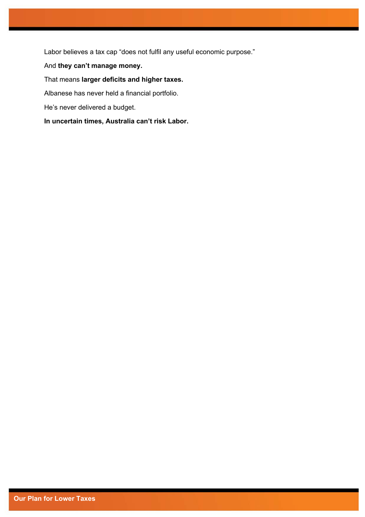Labor believes a tax cap "does not fulfil any useful economic purpose."

#### And **they can't manage money.**

#### That means **larger deficits and higher taxes.**

Albanese has never held a financial portfolio.

He's never delivered a budget.

**In uncertain times, Australia can't risk Labor.**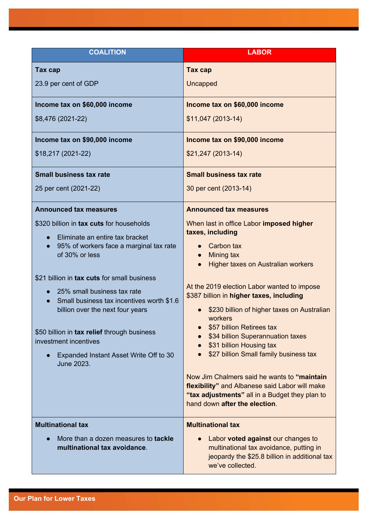| <b>COALITION</b>                                                              | <b>LABOR</b>                                                                                                                           |  |
|-------------------------------------------------------------------------------|----------------------------------------------------------------------------------------------------------------------------------------|--|
| Tax cap                                                                       | Tax cap                                                                                                                                |  |
| 23.9 per cent of GDP                                                          | Uncapped                                                                                                                               |  |
| Income tax on \$60,000 income                                                 | Income tax on \$60,000 income                                                                                                          |  |
| \$8,476 (2021-22)                                                             | \$11,047 (2013-14)                                                                                                                     |  |
| Income tax on \$90,000 income                                                 | Income tax on \$90,000 income                                                                                                          |  |
| \$18,217 (2021-22)                                                            | $$21,247(2013-14)$                                                                                                                     |  |
| <b>Small business tax rate</b>                                                | <b>Small business tax rate</b>                                                                                                         |  |
| 25 per cent (2021-22)                                                         | 30 per cent (2013-14)                                                                                                                  |  |
| <b>Announced tax measures</b>                                                 | <b>Announced tax measures</b>                                                                                                          |  |
| \$320 billion in tax cuts for households                                      | When last in office Labor imposed higher                                                                                               |  |
| Eliminate an entire tax bracket                                               | taxes, including                                                                                                                       |  |
| 95% of workers face a marginal tax rate<br>of 30% or less                     | Carbon tax<br><b>Mining tax</b>                                                                                                        |  |
|                                                                               | Higher taxes on Australian workers                                                                                                     |  |
| \$21 billion in tax cuts for small business                                   |                                                                                                                                        |  |
| 25% small business tax rate                                                   | At the 2019 election Labor wanted to impose<br>\$387 billion in higher taxes, including<br>\$230 billion of higher taxes on Australian |  |
| Small business tax incentives worth \$1.6<br>billion over the next four years |                                                                                                                                        |  |
|                                                                               | workers<br>\$57 billion Retirees tax                                                                                                   |  |
| \$50 billion in tax relief through business<br>investment incentives          | \$34 billion Superannuation taxes<br>\$31 billion Housing tax<br>$\bullet$<br>\$27 billion Small family business tax                   |  |
| Expanded Instant Asset Write Off to 30                                        |                                                                                                                                        |  |
| June 2023.                                                                    |                                                                                                                                        |  |
|                                                                               | Now Jim Chalmers said he wants to "maintain                                                                                            |  |
|                                                                               | flexibility" and Albanese said Labor will make<br>"tax adjustments" all in a Budget they plan to                                       |  |
|                                                                               | hand down after the election.                                                                                                          |  |
| <b>Multinational tax</b>                                                      | <b>Multinational tax</b>                                                                                                               |  |
| More than a dozen measures to tackle<br>multinational tax avoidance.          | Labor voted against our changes to                                                                                                     |  |
|                                                                               | multinational tax avoidance, putting in<br>jeopardy the \$25.8 billion in additional tax                                               |  |
|                                                                               | we've collected.                                                                                                                       |  |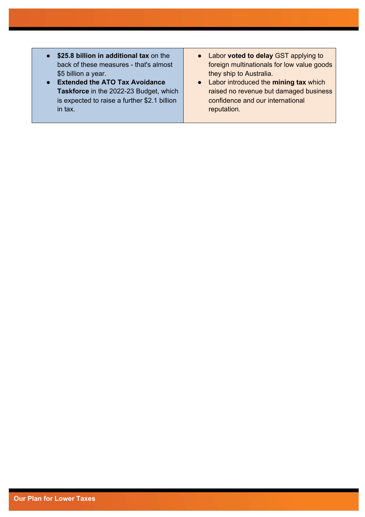- **\$25.8 billion in additional tax** on the back of these measures - that's almost \$5 billion a year.
- **Extended the ATO Tax Avoidance Taskforce** in the 2022-23 Budget, which is expected to raise a further \$2.1 billion in tax.
- Labor **voted to delay** GST applying to foreign multinationals for low value goods they ship to Australia.
- Labor introduced the **mining tax** which raised no revenue but damaged business confidence and our international reputation.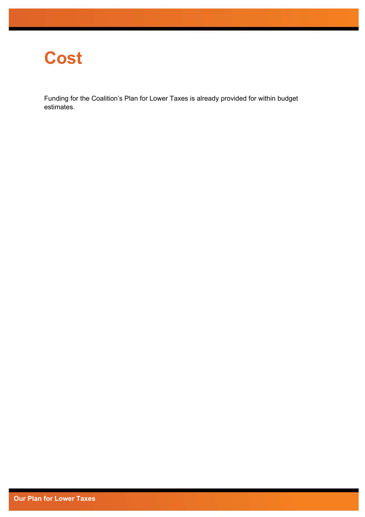# **Cost**

Funding for the Coalition's Plan for Lower Taxes is already provided for within budget estimates.